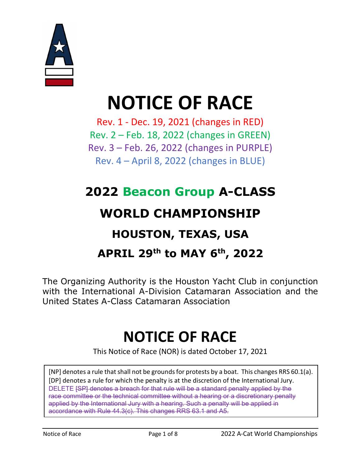

# NOTICE OF RACE

Rev. 1 - Dec. 19, 2021 (changes in RED) Rev. 2 – Feb. 18, 2022 (changes in GREEN) Rev. 3 – Feb. 26, 2022 (changes in PURPLE) Rev. 4 – April 8, 2022 (changes in BLUE)

# 2022 Beacon Group A-CLASS WORLD CHAMPIONSHIP HOUSTON, TEXAS, USA APRIL 29th to MAY 6th, 2022

The Organizing Authority is the Houston Yacht Club in conjunction with the International A-Division Catamaran Association and the United States A-Class Catamaran Association

# NOTICE OF RACE

This Notice of Race (NOR) is dated October 17, 2021

[NP] denotes a rule that shall not be grounds for protests by a boat. This changes RRS 60.1(a). [DP] denotes a rule for which the penalty is at the discretion of the International Jury. DELETE [SP] denotes a breach for that rule will be a standard penalty applied by the race committee or the technical committee without a hearing or a discretionary penalty applied by the International Jury with a hearing. Such a penalty will be applied in accordance with Rule 44.3(c). This changes RRS 63.1 and A5.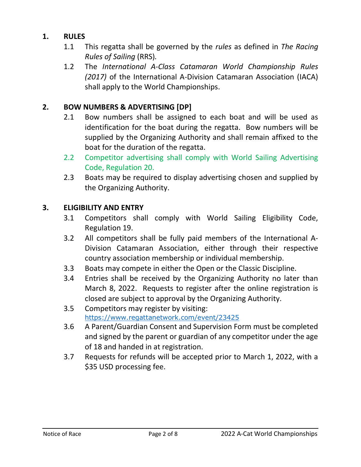# 1. RULES

- 1.1 This regatta shall be governed by the rules as defined in The Racing Rules of Sailing (RRS).
- 1.2 The International A-Class Catamaran World Championship Rules (2017) of the International A-Division Catamaran Association (IACA) shall apply to the World Championships.

# 2. BOW NUMBERS & ADVERTISING [DP]

- 2.1 Bow numbers shall be assigned to each boat and will be used as identification for the boat during the regatta. Bow numbers will be supplied by the Organizing Authority and shall remain affixed to the boat for the duration of the regatta.
- 2.2 Competitor advertising shall comply with World Sailing Advertising Code, Regulation 20.
- 2.3 Boats may be required to display advertising chosen and supplied by the Organizing Authority.

#### 3. ELIGIBILITY AND ENTRY

- 3.1 Competitors shall comply with World Sailing Eligibility Code, Regulation 19.
- 3.2 All competitors shall be fully paid members of the International A-Division Catamaran Association, either through their respective country association membership or individual membership.
- 3.3 Boats may compete in either the Open or the Classic Discipline.
- 3.4 Entries shall be received by the Organizing Authority no later than March 8, 2022. Requests to register after the online registration is closed are subject to approval by the Organizing Authority.
- 3.5 Competitors may register by visiting: https://www.regattanetwork.com/event/23425
- 3.6 A Parent/Guardian Consent and Supervision Form must be completed and signed by the parent or guardian of any competitor under the age of 18 and handed in at registration.
- 3.7 Requests for refunds will be accepted prior to March 1, 2022, with a \$35 USD processing fee.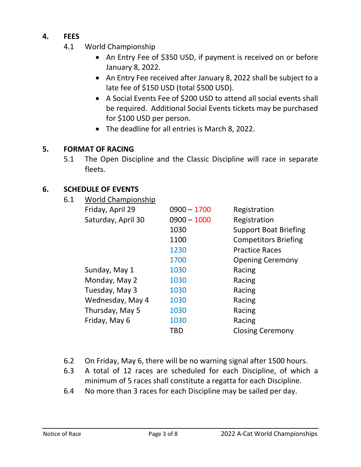# 4. FEES

- 4.1 World Championship
	- An Entry Fee of \$350 USD, if payment is received on or before January 8, 2022.
	- An Entry Fee received after January 8, 2022 shall be subject to a late fee of \$150 USD (total \$500 USD).
	- A Social Events Fee of \$200 USD to attend all social events shall be required. Additional Social Events tickets may be purchased for \$100 USD per person.
	- The deadline for all entries is March 8, 2022.

#### 5. FORMAT OF RACING

5.1 The Open Discipline and the Classic Discipline will race in separate fleets.

#### 6. SCHEDULE OF EVENTS

6.1 World Championship

| Friday, April 29   | $0900 - 1700$ | Registration                 |
|--------------------|---------------|------------------------------|
| Saturday, April 30 | $0900 - 1000$ | Registration                 |
|                    | 1030          | <b>Support Boat Briefing</b> |
|                    | 1100          | <b>Competitors Briefing</b>  |
|                    | 1230          | <b>Practice Races</b>        |
|                    | 1700          | <b>Opening Ceremony</b>      |
| Sunday, May 1      | 1030          | Racing                       |
| Monday, May 2      | 1030          | Racing                       |
| Tuesday, May 3     | 1030          | Racing                       |
| Wednesday, May 4   | 1030          | Racing                       |
| Thursday, May 5    | 1030          | Racing                       |
| Friday, May 6      | 1030          | Racing                       |
|                    | TBD           | <b>Closing Ceremony</b>      |
|                    |               |                              |

- 6.2 On Friday, May 6, there will be no warning signal after 1500 hours.
- 6.3 A total of 12 races are scheduled for each Discipline, of which a minimum of 5 races shall constitute a regatta for each Discipline.
- 6.4 No more than 3 races for each Discipline may be sailed per day.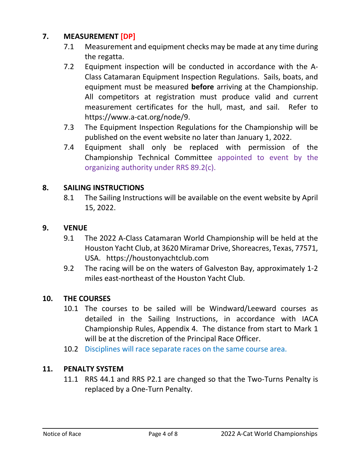# 7. MEASUREMENT [DP]

- 7.1 Measurement and equipment checks may be made at any time during the regatta.
- 7.2 Equipment inspection will be conducted in accordance with the A-Class Catamaran Equipment Inspection Regulations. Sails, boats, and equipment must be measured **before** arriving at the Championship. All competitors at registration must produce valid and current measurement certificates for the hull, mast, and sail. Refer to https://www.a-cat.org/node/9.
- 7.3 The Equipment Inspection Regulations for the Championship will be published on the event website no later than January 1, 2022.
- 7.4 Equipment shall only be replaced with permission of the Championship Technical Committee appointed to event by the organizing authority under RRS 89.2(c).

#### 8. SAILING INSTRUCTIONS

8.1 The Sailing Instructions will be available on the event website by April 15, 2022.

#### 9. VENUE

- 9.1 The 2022 A-Class Catamaran World Championship will be held at the Houston Yacht Club, at 3620 Miramar Drive, Shoreacres, Texas, 77571, USA. https://houstonyachtclub.com
- 9.2 The racing will be on the waters of Galveston Bay, approximately 1-2 miles east-northeast of the Houston Yacht Club.

#### 10. THE COURSES

- 10.1 The courses to be sailed will be Windward/Leeward courses as detailed in the Sailing Instructions, in accordance with IACA Championship Rules, Appendix 4. The distance from start to Mark 1 will be at the discretion of the Principal Race Officer.
- 10.2 Disciplines will race separate races on the same course area.

#### 11. PENALTY SYSTEM

11.1 RRS 44.1 and RRS P2.1 are changed so that the Two-Turns Penalty is replaced by a One-Turn Penalty.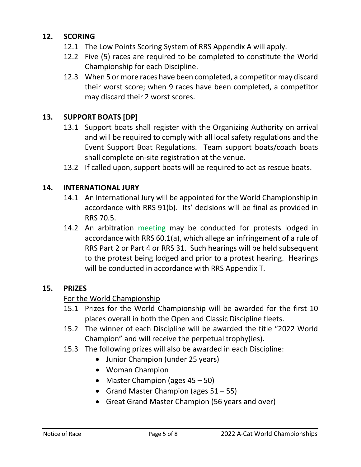# 12. SCORING

- 12.1 The Low Points Scoring System of RRS Appendix A will apply.
- 12.2 Five (5) races are required to be completed to constitute the World Championship for each Discipline.
- 12.3 When 5 or more races have been completed, a competitor may discard their worst score; when 9 races have been completed, a competitor may discard their 2 worst scores.

# 13. SUPPORT BOATS [DP]

- 13.1 Support boats shall register with the Organizing Authority on arrival and will be required to comply with all local safety regulations and the Event Support Boat Regulations. Team support boats/coach boats shall complete on-site registration at the venue.
- 13.2 If called upon, support boats will be required to act as rescue boats.

# 14. INTERNATIONAL JURY

- 14.1 An International Jury will be appointed for the World Championship in accordance with RRS 91(b). Its' decisions will be final as provided in RRS 70.5.
- 14.2 An arbitration meeting may be conducted for protests lodged in accordance with RRS 60.1(a), which allege an infringement of a rule of RRS Part 2 or Part 4 or RRS 31. Such hearings will be held subsequent to the protest being lodged and prior to a protest hearing. Hearings will be conducted in accordance with RRS Appendix T.

#### 15. PRIZES

# For the World Championship

- 15.1 Prizes for the World Championship will be awarded for the first 10 places overall in both the Open and Classic Discipline fleets.
- 15.2 The winner of each Discipline will be awarded the title "2022 World Champion" and will receive the perpetual trophy(ies).
- 15.3 The following prizes will also be awarded in each Discipline:
	- Junior Champion (under 25 years)
	- Woman Champion
	- Master Champion (ages 45 50)
	- Grand Master Champion (ages  $51 55$ )
	- Great Grand Master Champion (56 years and over)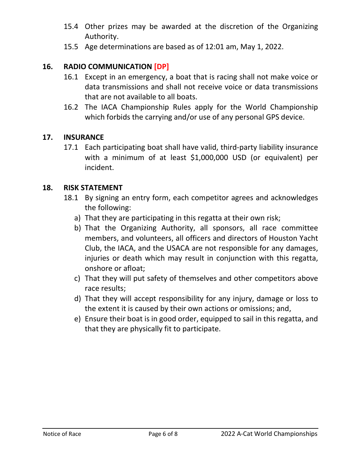- 15.4 Other prizes may be awarded at the discretion of the Organizing Authority.
- 15.5 Age determinations are based as of 12:01 am, May 1, 2022.

# 16. RADIO COMMUNICATION [DP]

- 16.1 Except in an emergency, a boat that is racing shall not make voice or data transmissions and shall not receive voice or data transmissions that are not available to all boats.
- 16.2 The IACA Championship Rules apply for the World Championship which forbids the carrying and/or use of any personal GPS device.

#### 17. INSURANCE

17.1 Each participating boat shall have valid, third-party liability insurance with a minimum of at least \$1,000,000 USD (or equivalent) per incident.

#### 18. RISK STATEMENT

- 18.1 By signing an entry form, each competitor agrees and acknowledges the following:
	- a) That they are participating in this regatta at their own risk;
	- b) That the Organizing Authority, all sponsors, all race committee members, and volunteers, all officers and directors of Houston Yacht Club, the IACA, and the USACA are not responsible for any damages, injuries or death which may result in conjunction with this regatta, onshore or afloat;
	- c) That they will put safety of themselves and other competitors above race results;
	- d) That they will accept responsibility for any injury, damage or loss to the extent it is caused by their own actions or omissions; and,
	- e) Ensure their boat is in good order, equipped to sail in this regatta, and that they are physically fit to participate.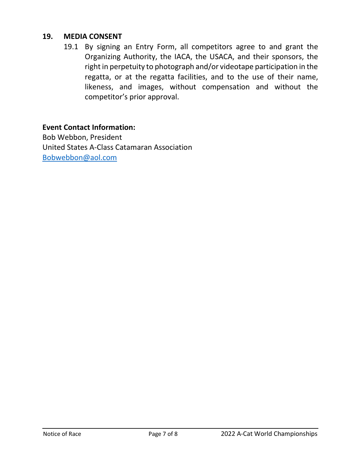#### 19. MEDIA CONSENT

19.1 By signing an Entry Form, all competitors agree to and grant the Organizing Authority, the IACA, the USACA, and their sponsors, the right in perpetuity to photograph and/or videotape participation in the regatta, or at the regatta facilities, and to the use of their name, likeness, and images, without compensation and without the competitor's prior approval.

#### Event Contact Information:

Bob Webbon, President United States A-Class Catamaran Association Bobwebbon@aol.com